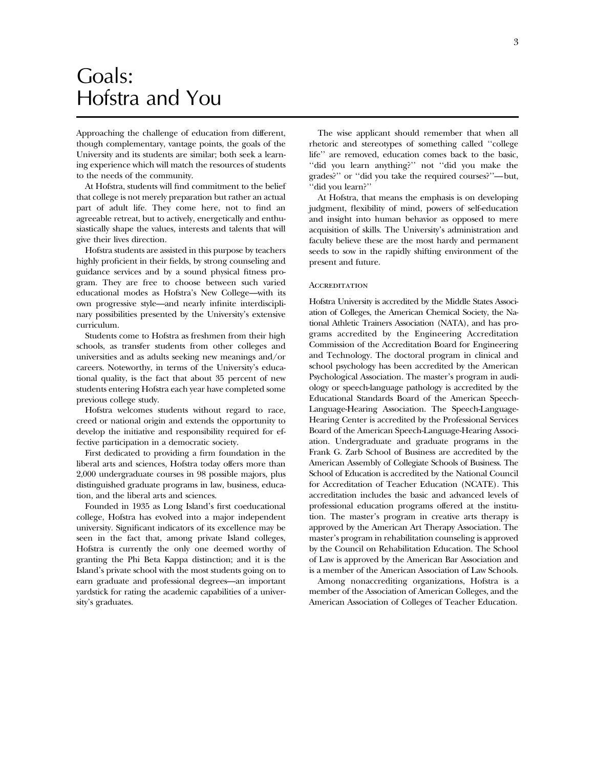## Goals: Hofstra and You

Approaching the challenge of education from different, though complementary, vantage points, the goals of the University and its students are similar; both seek a learning experience which will match the resources of students to the needs of the community.

At Hofstra, students will find commitment to the belief that college is not merely preparation but rather an actual part of adult life. They come here, not to find an agreeable retreat, but to actively, energetically and enthusiastically shape the values, interests and talents that will give their lives direction.

Hofstra students are assisted in this purpose by teachers highly proficient in their fields, by strong counseling and guidance services and by a sound physical fitness program. They are free to choose between such varied educational modes as Hofstra's New College—with its own progressive style—and nearly infinite interdisciplinary possibilities presented by the University's extensive curriculum.

Students come to Hofstra as freshmen from their high schools, as transfer students from other colleges and universities and as adults seeking new meanings and/or careers. Noteworthy, in terms of the University's educational quality, is the fact that about 35 percent of new students entering Hofstra each year have completed some previous college study.

Hofstra welcomes students without regard to race, creed or national origin and extends the opportunity to develop the initiative and responsibility required for effective participation in a democratic society.

First dedicated to providing a firm foundation in the liberal arts and sciences, Hofstra today offers more than 2,000 undergraduate courses in 98 possible majors, plus distinguished graduate programs in law, business, education, and the liberal arts and sciences.

Founded in 1935 as Long Island's first coeducational college, Hofstra has evolved into a major independent university. Significant indicators of its excellence may be seen in the fact that, among private Island colleges, Hofstra is currently the only one deemed worthy of granting the Phi Beta Kappa distinction; and it is the Island's private school with the most students going on to earn graduate and professional degrees—an important yardstick for rating the academic capabilities of a university's graduates.

The wise applicant should remember that when all rhetoric and stereotypes of something called ''college life'' are removed, education comes back to the basic, ''did you learn anything?'' not ''did you make the grades?'' or ''did you take the required courses?''—but, ''did you learn?''

At Hofstra, that means the emphasis is on developing judgment, flexibility of mind, powers of self-education and insight into human behavior as opposed to mere acquisition of skills. The University's administration and faculty believe these are the most hardy and permanent seeds to sow in the rapidly shifting environment of the present and future.

#### **ACCREDITATION**

Hofstra University is accredited by the Middle States Association of Colleges, the American Chemical Society, the National Athletic Trainers Association (NATA), and has programs accredited by the Engineering Accreditation Commission of the Accreditation Board for Engineering and Technology. The doctoral program in clinical and school psychology has been accredited by the American Psychological Association. The master's program in audiology or speech-language pathology is accredited by the Educational Standards Board of the American Speech-Language-Hearing Association. The Speech-Language-Hearing Center is accredited by the Professional Services Board of the American Speech-Language-Hearing Association. Undergraduate and graduate programs in the Frank G. Zarb School of Business are accredited by the American Assembly of Collegiate Schools of Business. The School of Education is accredited by the National Council for Accreditation of Teacher Education (NCATE). This accreditation includes the basic and advanced levels of professional education programs offered at the institution. The master's program in creative arts therapy is approved by the American Art Therapy Association. The master's program in rehabilitation counseling is approved by the Council on Rehabilitation Education. The School of Law is approved by the American Bar Association and is a member of the American Association of Law Schools.

Among nonaccrediting organizations, Hofstra is a member of the Association of American Colleges, and the American Association of Colleges of Teacher Education.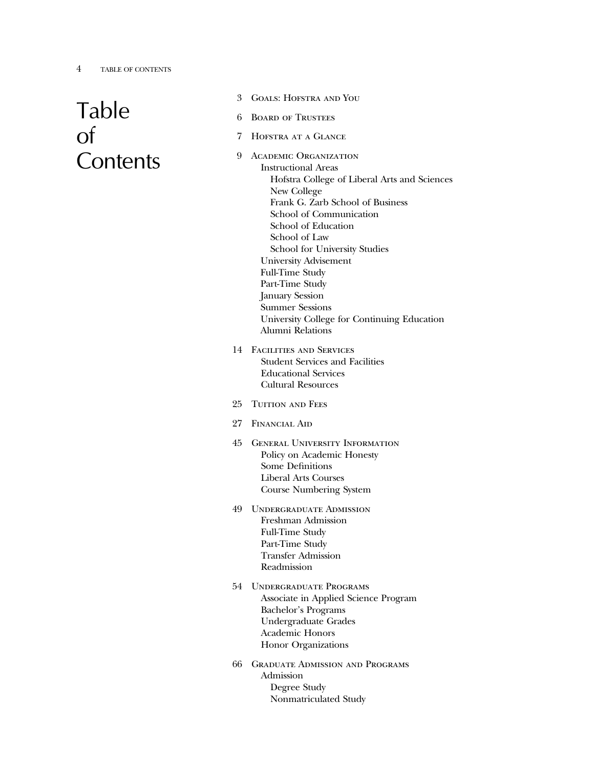## 4 TABLE OF CONTENTS

# Table of **Contents**

- 3 Goals: Hofstra and You
- 6 Board of Trustees
- 7 Hofstra at a Glance
- 9 Academic Organization Instructional Areas Hofstra College of Liberal Arts and Sciences New College Frank G. Zarb School of Business School of Communication School of Education School of Law School for University Studies University Advisement Full-Time Study Part-Time Study January Session Summer Sessions University College for Continuing Education Alumni Relations
- 14 Facilities and Services Student Services and Facilities Educational Services Cultural Resources
- 25 TUITION AND FEES
- 27 Financial Aid
- 45 General University Information Policy on Academic Honesty Some Definitions Liberal Arts Courses Course Numbering System
- 49 Undergraduate Admission Freshman Admission Full-Time Study Part-Time Study Transfer Admission Readmission
- 54 Undergraduate Programs Associate in Applied Science Program Bachelor's Programs Undergraduate Grades Academic Honors Honor Organizations
- 66 Graduate Admission and Programs Admission Degree Study Nonmatriculated Study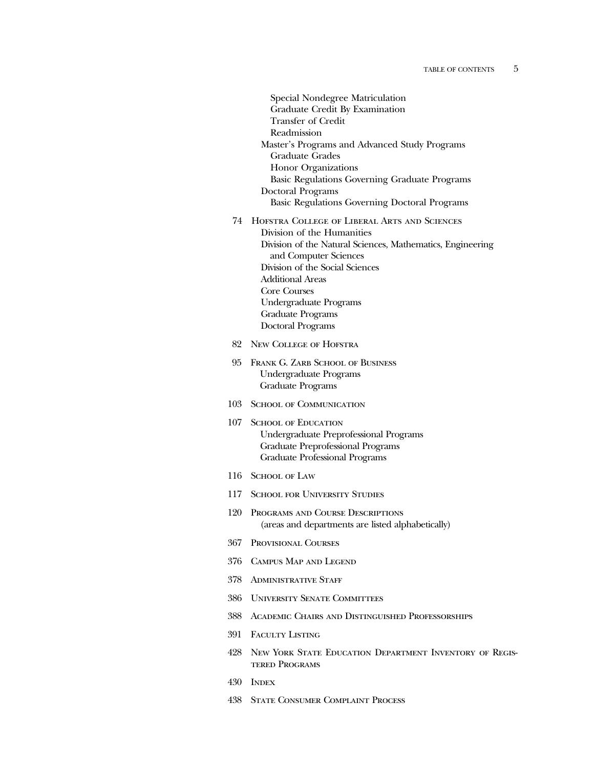- Special Nondegree Matriculation Graduate Credit By Examination Transfer of Credit Readmission Master's Programs and Advanced Study Programs Graduate Grades Honor Organizations Basic Regulations Governing Graduate Programs Doctoral Programs Basic Regulations Governing Doctoral Programs 74 Hofstra College of Liberal Arts and Sciences Division of the Humanities Division of the Natural Sciences, Mathematics, Engineering and Computer Sciences Division of the Social Sciences Additional Areas Core Courses Undergraduate Programs Graduate Programs Doctoral Programs 82 New College of Hofstra 95 FRANK G. ZARB SCHOOL OF BUSINESS Undergraduate Programs Graduate Programs 103 School of Communication 107 SCHOOL OF EDUCATION Undergraduate Preprofessional Programs Graduate Preprofessional Programs Graduate Professional Programs 116 SCHOOL OF LAW 117 School for University Studies 120 Programs and Course Descriptions (areas and departments are listed alphabetically) 367 Provisional Courses 376 Campus Map and Legend 378 Administrative Staff
	- 386 University Senate Committees
	- 388 Academic Chairs and Distinguished Professorships
	- 391 Faculty Listing
	- 428 New York State Education Department Inventory of Registered Programs
	- 430 Index
	- 438 State Consumer Complaint Process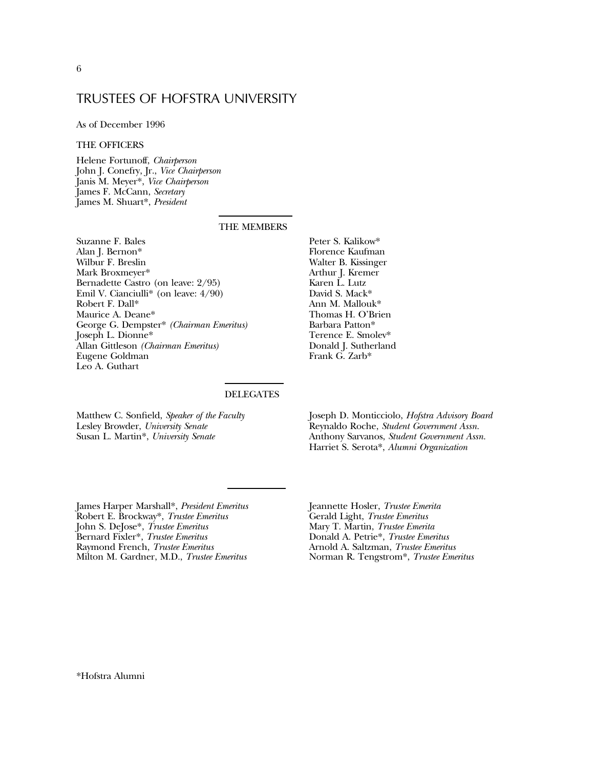## TRUSTEES OF HOFSTRA UNIVERSITY

As of December 1996

### THE OFFICERS

Helene Fortunoff, *Chairperson* John J. Conefry, Jr., *Vice Chairperson* Janis M. Meyer\*, *Vice Chairperson* James F. McCann, *Secretary* James M. Shuart\*, *President*

### THE MEMBERS

Suzanne F. Bales Alan J. Bernon\* Wilbur F. Breslin Mark Broxmeyer\* Bernadette Castro (on leave: 2/95) Emil V. Cianciulli\* (on leave: 4/90) Robert F. Dall\* Maurice A. Deane\* George G. Dempster\* *(Chairman Emeritus)* Joseph L. Dionne\* Allan Gittleson *(Chairman Emeritus)* Eugene Goldman Leo A. Guthart

Peter S. Kalikow\* Florence Kaufman Walter B. Kissinger Arthur J. Kremer Karen L. Lutz David S. Mack\* Ann M. Mallouk\* Thomas H. O'Brien Barbara Patton\* Terence E. Smolev\* Donald J. Sutherland Frank G. Zarb\*

## DELEGATES

Matthew C. Sonfield, *Speaker of the Faculty* Lesley Browder, *University Senate* Susan L. Martin\*, *University Senate*

Joseph D. Monticciolo, *Hofstra Advisory Board* Reynaldo Roche, *Student Government Assn.* Anthony Sarvanos, *Student Government Assn.* Harriet S. Serota\*, *Alumni Organization*

James Harper Marshall\*, *President Emeritus* Robert E. Brockway\*, *Trustee Emeritus* John S. DeJose\*, *Trustee Emeritus* Bernard Fixler\*, *Trustee Emeritus* Raymond French, *Trustee Emeritus* Milton M. Gardner, M.D., *Trustee Emeritus*

Jeannette Hosler, *Trustee Emerita* Gerald Light, *Trustee Emeritus* Mary T. Martin, *Trustee Emerita* Donald A. Petrie\*, *Trustee Emeritus* Arnold A. Saltzman, *Trustee Emeritus* Norman R. Tengstrom\*, *Trustee Emeritus*